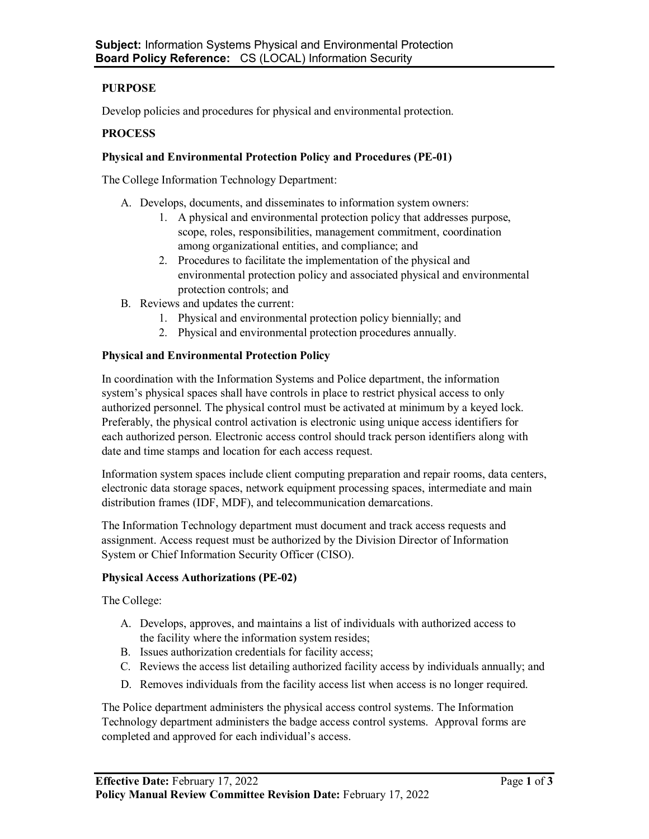# **PURPOSE**

Develop policies and procedures for physical and environmental protection.

## **PROCESS**

### **Physical and Environmental Protection Policy and Procedures (PE-01)**

The College Information Technology Department:

- A. Develops, documents, and disseminates to information system owners:
	- 1. A physical and environmental protection policy that addresses purpose, scope, roles, responsibilities, management commitment, coordination among organizational entities, and compliance; and
	- 2. Procedures to facilitate the implementation of the physical and environmental protection policy and associated physical and environmental protection controls; and
- B. Reviews and updates the current:
	- 1. Physical and environmental protection policy biennially; and
	- 2. Physical and environmental protection procedures annually.

### **Physical and Environmental Protection Policy**

In coordination with the Information Systems and Police department, the information system's physical spaces shall have controls in place to restrict physical access to only authorized personnel. The physical control must be activated at minimum by a keyed lock. Preferably, the physical control activation is electronic using unique access identifiers for each authorized person. Electronic access control should track person identifiers along with date and time stamps and location for each access request.

Information system spaces include client computing preparation and repair rooms, data centers, electronic data storage spaces, network equipment processing spaces, intermediate and main distribution frames (IDF, MDF), and telecommunication demarcations.

The Information Technology department must document and track access requests and assignment. Access request must be authorized by the Division Director of Information System or Chief Information Security Officer (CISO).

#### **Physical Access Authorizations (PE-02)**

The College:

- A. Develops, approves, and maintains a list of individuals with authorized access to the facility where the information system resides;
- B. Issues authorization credentials for facility access;
- C. Reviews the access list detailing authorized facility access by individuals annually; and
- D. Removes individuals from the facility access list when access is no longer required.

The Police department administers the physical access control systems. The Information Technology department administers the badge access control systems. Approval forms are completed and approved for each individual's access.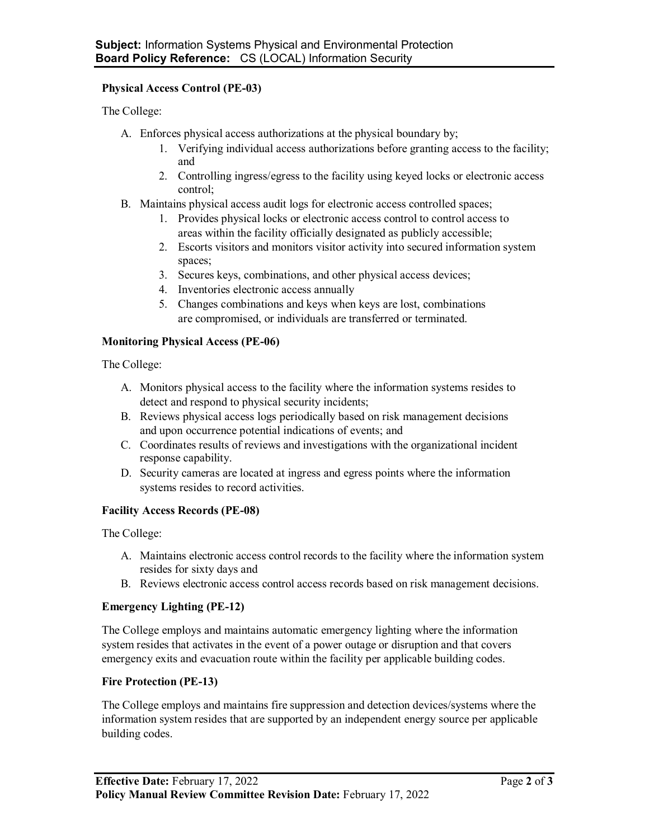### **Physical Access Control (PE-03)**

The College:

- A. Enforces physical access authorizations at the physical boundary by;
	- 1. Verifying individual access authorizations before granting access to the facility; and
	- 2. Controlling ingress/egress to the facility using keyed locks or electronic access control;
- B. Maintains physical access audit logs for electronic access controlled spaces;
	- 1. Provides physical locks or electronic access control to control access to areas within the facility officially designated as publicly accessible;
	- 2. Escorts visitors and monitors visitor activity into secured information system spaces;
	- 3. Secures keys, combinations, and other physical access devices;
	- 4. Inventories electronic access annually
	- 5. Changes combinations and keys when keys are lost, combinations are compromised, or individuals are transferred or terminated.

### **Monitoring Physical Access (PE-06)**

The College:

- A. Monitors physical access to the facility where the information systems resides to detect and respond to physical security incidents;
- B. Reviews physical access logs periodically based on risk management decisions and upon occurrence potential indications of events; and
- C. Coordinates results of reviews and investigations with the organizational incident response capability.
- D. Security cameras are located at ingress and egress points where the information systems resides to record activities.

# **Facility Access Records (PE-08)**

The College:

- A. Maintains electronic access control records to the facility where the information system resides for sixty days and
- B. Reviews electronic access control access records based on risk management decisions.

#### **Emergency Lighting (PE-12)**

The College employs and maintains automatic emergency lighting where the information system resides that activates in the event of a power outage or disruption and that covers emergency exits and evacuation route within the facility per applicable building codes.

# **Fire Protection (PE-13)**

The College employs and maintains fire suppression and detection devices/systems where the information system resides that are supported by an independent energy source per applicable building codes.